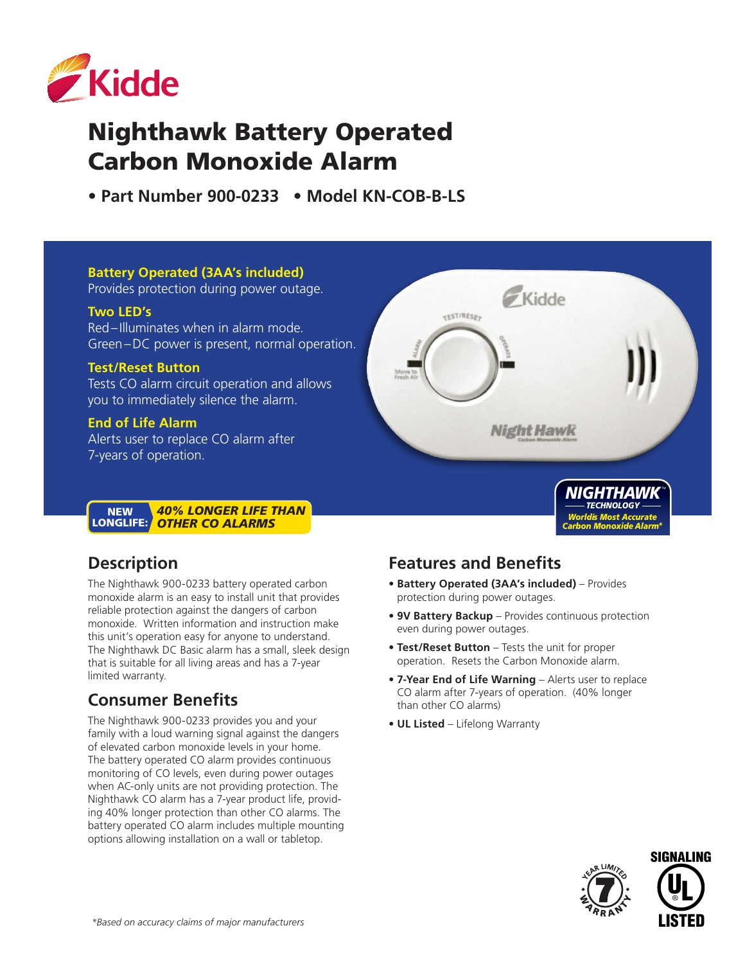

# Nighthawk Battery Operated Carbon Monoxide Alarm

**• Part Number 900-0233 • Model KN-COB-B-LS** 

#### **Battery Operated (3AA's included)**

Provides protection during power outage.

#### **Two LED's**

Red–Illuminates when in alarm mode. Green–DC power is present, normal operation.

#### **Test/Reset Button**

Tests CO alarm circuit operation and allows you to immediately silence the alarm.

#### **End of Life Alarm**

Alerts user to replace CO alarm after 7-years of operation.

#### *40% LONGER LIFE THAN OTHER CO ALARMS* **NEW** LONGLIFE:

## **Description**

The Nighthawk 900-0233 battery operated carbon monoxide alarm is an easy to install unit that provides reliable protection against the dangers of carbon monoxide. Written information and instruction make this unit's operation easy for anyone to understand. The Nighthawk DC Basic alarm has a small, sleek design that is suitable for all living areas and has a 7-year limited warranty.

## **Consumer Benefits**

The Nighthawk 900-0233 provides you and your family with a loud warning signal against the dangers of elevated carbon monoxide levels in your home. The battery operated CO alarm provides continuous monitoring of CO levels, even during power outages when AC-only units are not providing protection. The Nighthawk CO alarm has a 7-year product life, providing 40% longer protection than other CO alarms. The battery operated CO alarm includes multiple mounting options allowing installation on a wall or tabletop.

## **Features and Benefits**

TEST/RESET

- **Battery Operated (3AA's included)** Provides protection during power outages.
- **9V Battery Backup** Provides continuous protection even during power outages.

Kidde

**Night Hawk** 

- **Test/Reset Button** Tests the unit for proper operation. Resets the Carbon Monoxide alarm.
- **7-Year End of Life Warning** Alerts user to replace CO alarm after 7-years of operation. (40% longer than other CO alarms)
- **UL Listed** Lifelong Warranty



*NIGHTHAWK TECHNOLOGY Worldís Most Accurate Carbon Monoxide Alarm\**

*TM*